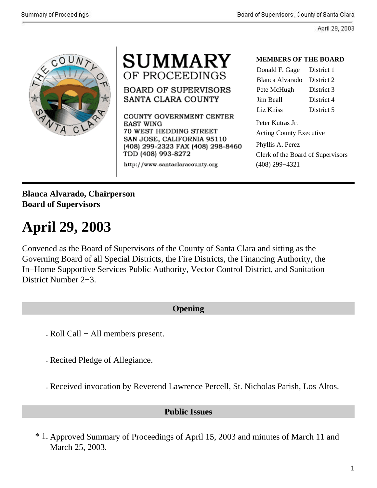



**BOARD OF SUPERVISORS** SANTA CLARA COUNTY

COUNTY GOVERNMENT CENTER EAST WING 70 WEST HEDDING STREET SAN JOSE, CALIFORNIA 95110 (408) 299-2323 FAX (408) 298-8460 TDD (408) 993-8272

http://www.santaclaracounty.org

#### **MEMBERS OF THE BOARD**

| Donald F. Gage District 1      |            |  |
|--------------------------------|------------|--|
| Blanca Alvarado                | District 2 |  |
| Pete McHugh                    | District 3 |  |
| Jim Beall                      | District 4 |  |
| Liz Kniss                      | District 5 |  |
| Peter Kutras Jr.               |            |  |
| <b>Acting County Executive</b> |            |  |

Phyllis A. Perez Clerk of the Board of Supervisors (408) 299−4321

## **Blanca Alvarado, Chairperson Board of Supervisors**

# **April 29, 2003**

Convened as the Board of Supervisors of the County of Santa Clara and sitting as the Governing Board of all Special Districts, the Fire Districts, the Financing Authority, the In−Home Supportive Services Public Authority, Vector Control District, and Sanitation District Number 2−3.

## **Opening**

. Roll Call − All members present.

. Recited Pledge of Allegiance.

. Received invocation by Reverend Lawrence Percell, St. Nicholas Parish, Los Altos.

### **Public Issues**

\* 1. Approved Summary of Proceedings of April 15, 2003 and minutes of March 11 and March 25, 2003.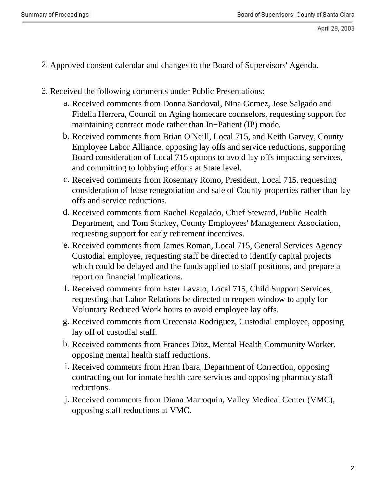- 2. Approved consent calendar and changes to the Board of Supervisors' Agenda.
- 3. Received the following comments under Public Presentations:
	- a. Received comments from Donna Sandoval, Nina Gomez, Jose Salgado and Fidelia Herrera, Council on Aging homecare counselors, requesting support for maintaining contract mode rather than In−Patient (IP) mode.
	- b. Received comments from Brian O'Neill, Local 715, and Keith Garvey, County Employee Labor Alliance, opposing lay offs and service reductions, supporting Board consideration of Local 715 options to avoid lay offs impacting services, and committing to lobbying efforts at State level.
	- c. Received comments from Rosemary Romo, President, Local 715, requesting consideration of lease renegotiation and sale of County properties rather than lay offs and service reductions.
	- d. Received comments from Rachel Regalado, Chief Steward, Public Health Department, and Tom Starkey, County Employees' Management Association, requesting support for early retirement incentives.
	- e. Received comments from James Roman, Local 715, General Services Agency Custodial employee, requesting staff be directed to identify capital projects which could be delayed and the funds applied to staff positions, and prepare a report on financial implications.
	- f. Received comments from Ester Lavato, Local 715, Child Support Services, requesting that Labor Relations be directed to reopen window to apply for Voluntary Reduced Work hours to avoid employee lay offs.
	- g. Received comments from Crecensia Rodriguez, Custodial employee, opposing lay off of custodial staff.
	- h. Received comments from Frances Diaz, Mental Health Community Worker, opposing mental health staff reductions.
	- i. Received comments from Hran Ibara, Department of Correction, opposing contracting out for inmate health care services and opposing pharmacy staff reductions.
	- j. Received comments from Diana Marroquin, Valley Medical Center (VMC), opposing staff reductions at VMC.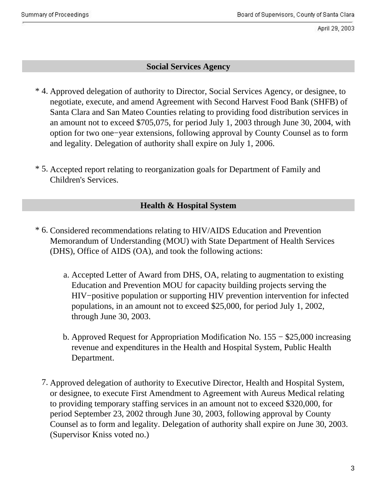#### **Social Services Agency**

- \* 4. Approved delegation of authority to Director, Social Services Agency, or designee, to negotiate, execute, and amend Agreement with Second Harvest Food Bank (SHFB) of Santa Clara and San Mateo Counties relating to providing food distribution services in an amount not to exceed \$705,075, for period July 1, 2003 through June 30, 2004, with option for two one−year extensions, following approval by County Counsel as to form and legality. Delegation of authority shall expire on July 1, 2006.
- \* 5. Accepted report relating to reorganization goals for Department of Family and Children's Services.

## **Health & Hospital System**

- \* 6. Considered recommendations relating to HIV/AIDS Education and Prevention Memorandum of Understanding (MOU) with State Department of Health Services (DHS), Office of AIDS (OA), and took the following actions:
	- Accepted Letter of Award from DHS, OA, relating to augmentation to existing a. Education and Prevention MOU for capacity building projects serving the HIV−positive population or supporting HIV prevention intervention for infected populations, in an amount not to exceed \$25,000, for period July 1, 2002, through June 30, 2003.
	- b. Approved Request for Appropriation Modification No. 155 \$25,000 increasing revenue and expenditures in the Health and Hospital System, Public Health Department.
	- 7. Approved delegation of authority to Executive Director, Health and Hospital System, or designee, to execute First Amendment to Agreement with Aureus Medical relating to providing temporary staffing services in an amount not to exceed \$320,000, for period September 23, 2002 through June 30, 2003, following approval by County Counsel as to form and legality. Delegation of authority shall expire on June 30, 2003. (Supervisor Kniss voted no.)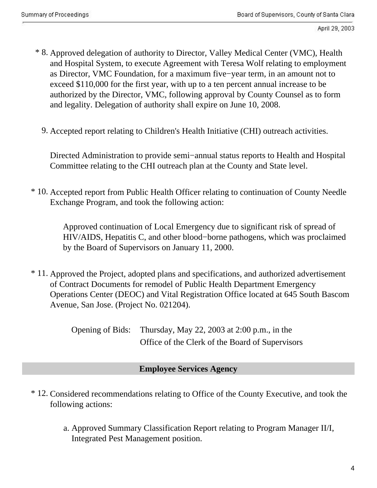- \* 8. Approved delegation of authority to Director, Valley Medical Center (VMC), Health and Hospital System, to execute Agreement with Teresa Wolf relating to employment as Director, VMC Foundation, for a maximum five−year term, in an amount not to exceed \$110,000 for the first year, with up to a ten percent annual increase to be authorized by the Director, VMC, following approval by County Counsel as to form and legality. Delegation of authority shall expire on June 10, 2008.
	- 9. Accepted report relating to Children's Health Initiative (CHI) outreach activities.

Directed Administration to provide semi−annual status reports to Health and Hospital Committee relating to the CHI outreach plan at the County and State level.

\* 10. Accepted report from Public Health Officer relating to continuation of County Needle Exchange Program, and took the following action:

> . Approved continuation of Local Emergency due to significant risk of spread of HIV/AIDS, Hepatitis C, and other blood−borne pathogens, which was proclaimed by the Board of Supervisors on January 11, 2000.

\* 11. Approved the Project, adopted plans and specifications, and authorized advertisement of Contract Documents for remodel of Public Health Department Emergency Operations Center (DEOC) and Vital Registration Office located at 645 South Bascom Avenue, San Jose. (Project No. 021204).

> . Opening of Bids: Thursday, May 22, 2003 at 2:00 p.m., in the Office of the Clerk of the Board of Supervisors

## **Employee Services Agency**

- \* 12. Considered recommendations relating to Office of the County Executive, and took the following actions:
	- a. Approved Summary Classification Report relating to Program Manager II/I, Integrated Pest Management position.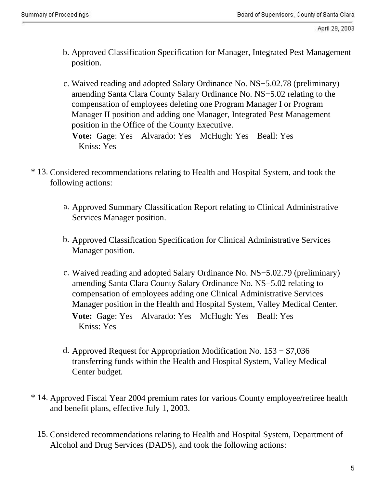- b. Approved Classification Specification for Manager, Integrated Pest Management position.
- Waived reading and adopted Salary Ordinance No. NS−5.02.78 (preliminary) c. amending Santa Clara County Salary Ordinance No. NS−5.02 relating to the compensation of employees deleting one Program Manager I or Program Manager II position and adding one Manager, Integrated Pest Management position in the Office of the County Executive. **Vote:** Gage: Yes Alvarado: Yes McHugh: Yes Beall: Yes

Kniss: Yes

- \* 13. Considered recommendations relating to Health and Hospital System, and took the following actions:
	- a. Approved Summary Classification Report relating to Clinical Administrative Services Manager position.
	- b. Approved Classification Specification for Clinical Administrative Services Manager position.
	- c. Waived reading and adopted Salary Ordinance No. NS−5.02.79 (preliminary) amending Santa Clara County Salary Ordinance No. NS−5.02 relating to compensation of employees adding one Clinical Administrative Services Manager position in the Health and Hospital System, Valley Medical Center. **Vote:** Gage: Yes Alvarado: Yes McHugh: Yes Beall: Yes Kniss: Yes
	- d. Approved Request for Appropriation Modification No. 153 − \$7,036 transferring funds within the Health and Hospital System, Valley Medical Center budget.
- \* 14. Approved Fiscal Year 2004 premium rates for various County employee/retiree health and benefit plans, effective July 1, 2003.
	- 15. Considered recommendations relating to Health and Hospital System, Department of Alcohol and Drug Services (DADS), and took the following actions: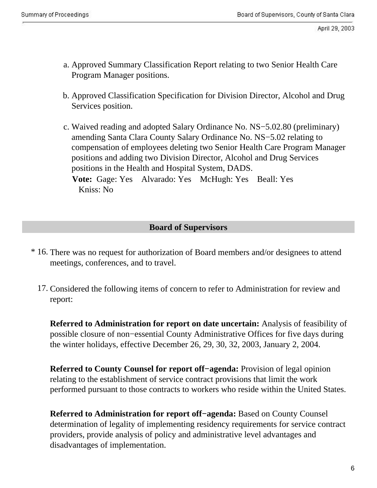- a. Approved Summary Classification Report relating to two Senior Health Care Program Manager positions.
- b. Approved Classification Specification for Division Director, Alcohol and Drug Services position.
- Waived reading and adopted Salary Ordinance No. NS−5.02.80 (preliminary) c. amending Santa Clara County Salary Ordinance No. NS−5.02 relating to compensation of employees deleting two Senior Health Care Program Manager positions and adding two Division Director, Alcohol and Drug Services positions in the Health and Hospital System, DADS. **Vote:** Gage: Yes Alvarado: Yes McHugh: Yes Beall: Yes

Kniss: No

#### **Board of Supervisors**

- \* 16. There was no request for authorization of Board members and/or designees to attend meetings, conferences, and to travel.
	- 17. Considered the following items of concern to refer to Administration for review and report:

**Referred to Administration for report on date uncertain:** Analysis of feasibility of possible closure of non−essential County Administrative Offices for five days during the winter holidays, effective December 26, 29, 30, 32, 2003, January 2, 2004.

**Referred to County Counsel for report off−agenda:** Provision of legal opinion relating to the establishment of service contract provisions that limit the work performed pursuant to those contracts to workers who reside within the United States.

**Referred to Administration for report off−agenda:** Based on County Counsel determination of legality of implementing residency requirements for service contract providers, provide analysis of policy and administrative level advantages and disadvantages of implementation.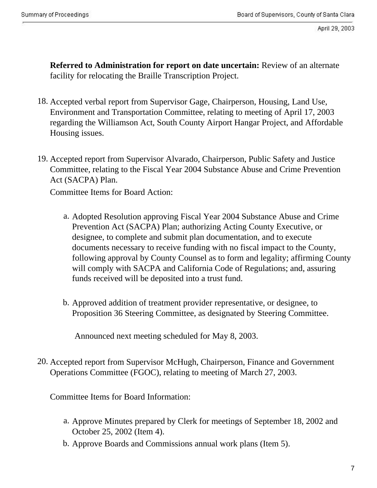**Referred to Administration for report on date uncertain:** Review of an alternate facility for relocating the Braille Transcription Project.

- 18. Accepted verbal report from Supervisor Gage, Chairperson, Housing, Land Use, Environment and Transportation Committee, relating to meeting of April 17, 2003 regarding the Williamson Act, South County Airport Hangar Project, and Affordable Housing issues.
- 19. Accepted report from Supervisor Alvarado, Chairperson, Public Safety and Justice Committee, relating to the Fiscal Year 2004 Substance Abuse and Crime Prevention Act (SACPA) Plan.

Committee Items for Board Action:

- a. Adopted Resolution approving Fiscal Year 2004 Substance Abuse and Crime Prevention Act (SACPA) Plan; authorizing Acting County Executive, or designee, to complete and submit plan documentation, and to execute documents necessary to receive funding with no fiscal impact to the County, following approval by County Counsel as to form and legality; affirming County will comply with SACPA and California Code of Regulations; and, assuring funds received will be deposited into a trust fund.
- b. Approved addition of treatment provider representative, or designee, to Proposition 36 Steering Committee, as designated by Steering Committee.

. Announced next meeting scheduled for May 8, 2003.

20. Accepted report from Supervisor McHugh, Chairperson, Finance and Government Operations Committee (FGOC), relating to meeting of March 27, 2003.

Committee Items for Board Information:

- a. Approve Minutes prepared by Clerk for meetings of September 18, 2002 and October 25, 2002 (Item 4).
- b. Approve Boards and Commissions annual work plans (Item 5).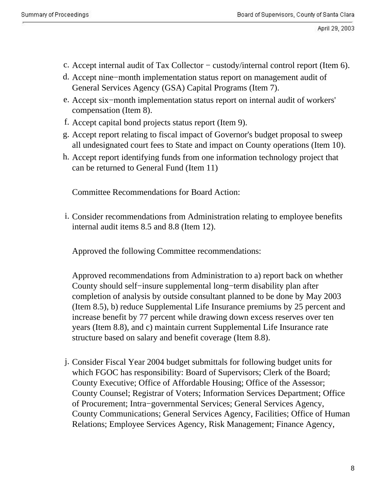- c. Accept internal audit of Tax Collector − custody/internal control report (Item 6).
- d. Accept nine−month implementation status report on management audit of General Services Agency (GSA) Capital Programs (Item 7).
- e. Accept six−month implementation status report on internal audit of workers' compensation (Item 8).
- f. Accept capital bond projects status report (Item 9).
- g. Accept report relating to fiscal impact of Governor's budget proposal to sweep all undesignated court fees to State and impact on County operations (Item 10).
- h. Accept report identifying funds from one information technology project that can be returned to General Fund (Item 11)

Committee Recommendations for Board Action:

i. Consider recommendations from Administration relating to employee benefits internal audit items 8.5 and 8.8 (Item 12).

Approved the following Committee recommendations:

Approved recommendations from Administration to a) report back on whether County should self−insure supplemental long−term disability plan after completion of analysis by outside consultant planned to be done by May 2003 (Item 8.5), b) reduce Supplemental Life Insurance premiums by 25 percent and increase benefit by 77 percent while drawing down excess reserves over ten years (Item 8.8), and c) maintain current Supplemental Life Insurance rate structure based on salary and benefit coverage (Item 8.8).

j. Consider Fiscal Year 2004 budget submittals for following budget units for which FGOC has responsibility: Board of Supervisors; Clerk of the Board; County Executive; Office of Affordable Housing; Office of the Assessor; County Counsel; Registrar of Voters; Information Services Department; Office of Procurement; Intra−governmental Services; General Services Agency, County Communications; General Services Agency, Facilities; Office of Human Relations; Employee Services Agency, Risk Management; Finance Agency,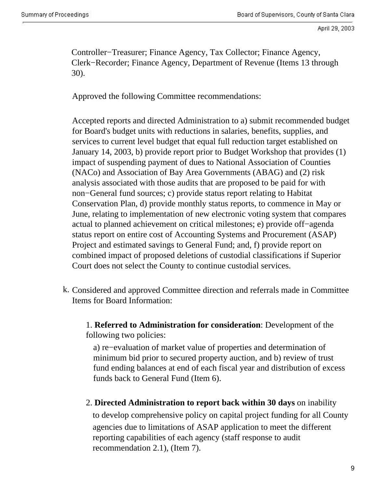Controller−Treasurer; Finance Agency, Tax Collector; Finance Agency, Clerk−Recorder; Finance Agency, Department of Revenue (Items 13 through 30).

Approved the following Committee recommendations:

Accepted reports and directed Administration to a) submit recommended budget for Board's budget units with reductions in salaries, benefits, supplies, and services to current level budget that equal full reduction target established on January 14, 2003, b) provide report prior to Budget Workshop that provides (1) impact of suspending payment of dues to National Association of Counties (NACo) and Association of Bay Area Governments (ABAG) and (2) risk analysis associated with those audits that are proposed to be paid for with non−General fund sources; c) provide status report relating to Habitat Conservation Plan, d) provide monthly status reports, to commence in May or June, relating to implementation of new electronic voting system that compares actual to planned achievement on critical milestones; e) provide off−agenda status report on entire cost of Accounting Systems and Procurement (ASAP) Project and estimated savings to General Fund; and, f) provide report on combined impact of proposed deletions of custodial classifications if Superior Court does not select the County to continue custodial services.

k. Considered and approved Committee direction and referrals made in Committee Items for Board Information:

. 1. **Referred to Administration for consideration**: Development of the following two policies:

. a) re−evaluation of market value of properties and determination of minimum bid prior to secured property auction, and b) review of trust fund ending balances at end of each fiscal year and distribution of excess funds back to General Fund (Item 6).

. 2. **Directed Administration to report back within 30 days** on inability . to develop comprehensive policy on capital project funding for all County . agencies due to limitations of ASAP application to meet the different reporting capabilities of each agency (staff response to audit recommendation 2.1), (Item 7).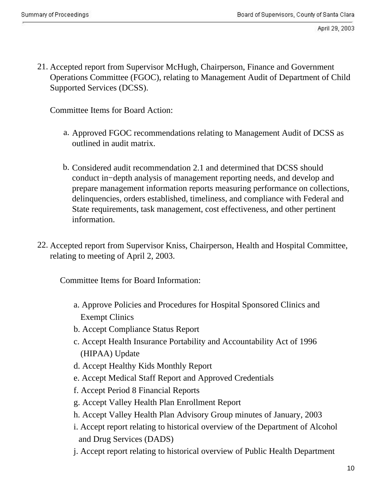21. Accepted report from Supervisor McHugh, Chairperson, Finance and Government Operations Committee (FGOC), relating to Management Audit of Department of Child Supported Services (DCSS).

Committee Items for Board Action:

- a. Approved FGOC recommendations relating to Management Audit of DCSS as outlined in audit matrix.
- b. Considered audit recommendation 2.1 and determined that DCSS should conduct in−depth analysis of management reporting needs, and develop and prepare management information reports measuring performance on collections, delinquencies, orders established, timeliness, and compliance with Federal and State requirements, task management, cost effectiveness, and other pertinent information.
- 22. Accepted report from Supervisor Kniss, Chairperson, Health and Hospital Committee, relating to meeting of April 2, 2003.

. Committee Items for Board Information:

- . a. Approve Policies and Procedures for Hospital Sponsored Clinics and . Exempt Clinics
- . b. Accept Compliance Status Report
- . c. Accept Health Insurance Portability and Accountability Act of 1996 . (HIPAA) Update
- . d. Accept Healthy Kids Monthly Report
- . e. Accept Medical Staff Report and Approved Credentials
- . f. Accept Period 8 Financial Reports
- . g. Accept Valley Health Plan Enrollment Report
- . h. Accept Valley Health Plan Advisory Group minutes of January, 2003
- . i. Accept report relating to historical overview of the Department of Alcohol . and Drug Services (DADS)
- . j. Accept report relating to historical overview of Public Health Department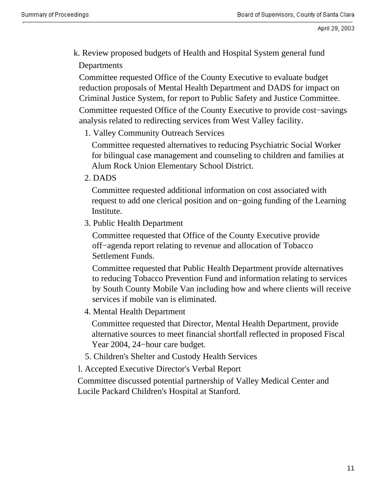. k. Review proposed budgets of Health and Hospital System general fund . Departments

. Committee requested Office of the County Executive to evaluate budget reduction proposals of Mental Health Department and DADS for impact on Criminal Justice System, for report to Public Safety and Justice Committee.

. Committee requested Office of the County Executive to provide cost−savings analysis related to redirecting services from West Valley facility.

. 1. Valley Community Outreach Services

. Committee requested alternatives to reducing Psychiatric Social Worker for bilingual case management and counseling to children and families at Alum Rock Union Elementary School District.

. 2. DADS

. Committee requested additional information on cost associated with request to add one clerical position and on−going funding of the Learning Institute.

. 3. Public Health Department

. Committee requested that Office of the County Executive provide off−agenda report relating to revenue and allocation of Tobacco Settlement Funds.

. Committee requested that Public Health Department provide alternatives to reducing Tobacco Prevention Fund and information relating to services by South County Mobile Van including how and where clients will receive services if mobile van is eliminated.

. 4. Mental Health Department

. Committee requested that Director, Mental Health Department, provide alternative sources to meet financial shortfall reflected in proposed Fiscal Year 2004, 24−hour care budget.

- . 5. Children's Shelter and Custody Health Services
- . l. Accepted Executive Director's Verbal Report

. Committee discussed potential partnership of Valley Medical Center and Lucile Packard Children's Hospital at Stanford.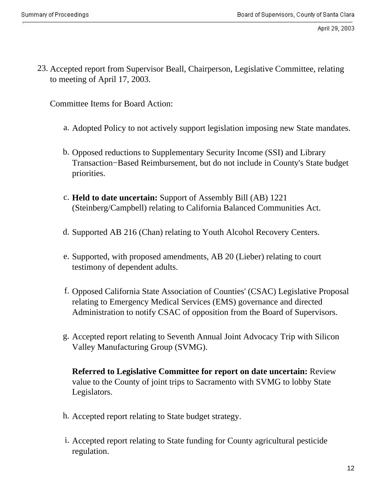23. Accepted report from Supervisor Beall, Chairperson, Legislative Committee, relating to meeting of April 17, 2003.

Committee Items for Board Action:

- a. Adopted Policy to not actively support legislation imposing new State mandates.
- b. Opposed reductions to Supplementary Security Income (SSI) and Library Transaction−Based Reimbursement, but do not include in County's State budget priorities.
- c. **Held to date uncertain:** Support of Assembly Bill (AB) 1221 (Steinberg/Campbell) relating to California Balanced Communities Act.
- d. Supported AB 216 (Chan) relating to Youth Alcohol Recovery Centers.
- e. Supported, with proposed amendments, AB 20 (Lieber) relating to court testimony of dependent adults.
- f. Opposed California State Association of Counties' (CSAC) Legislative Proposal relating to Emergency Medical Services (EMS) governance and directed Administration to notify CSAC of opposition from the Board of Supervisors.
- g. Accepted report relating to Seventh Annual Joint Advocacy Trip with Silicon Valley Manufacturing Group (SVMG).

**Referred to Legislative Committee for report on date uncertain:** Review value to the County of joint trips to Sacramento with SVMG to lobby State Legislators.

- h. Accepted report relating to State budget strategy.
- i. Accepted report relating to State funding for County agricultural pesticide regulation.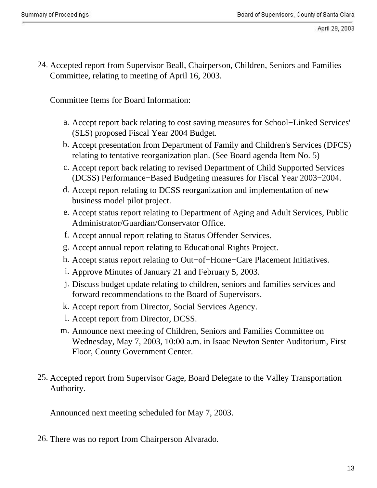24. Accepted report from Supervisor Beall, Chairperson, Children, Seniors and Families Committee, relating to meeting of April 16, 2003.

Committee Items for Board Information:

- a. Accept report back relating to cost saving measures for School−Linked Services' (SLS) proposed Fiscal Year 2004 Budget.
- b. Accept presentation from Department of Family and Children's Services (DFCS) relating to tentative reorganization plan. (See Board agenda Item No. 5)
- c. Accept report back relating to revised Department of Child Supported Services (DCSS) Performance−Based Budgeting measures for Fiscal Year 2003−2004.
- d. Accept report relating to DCSS reorganization and implementation of new business model pilot project.
- e. Accept status report relating to Department of Aging and Adult Services, Public Administrator/Guardian/Conservator Office.
- f. Accept annual report relating to Status Offender Services.
- g. Accept annual report relating to Educational Rights Project.
- h. Accept status report relating to Out−of−Home−Care Placement Initiatives.
- i. Approve Minutes of January 21 and February 5, 2003.
- j. Discuss budget update relating to children, seniors and families services and forward recommendations to the Board of Supervisors.
- k. Accept report from Director, Social Services Agency.
- l. Accept report from Director, DCSS.
- m. Announce next meeting of Children, Seniors and Families Committee on Wednesday, May 7, 2003, 10:00 a.m. in Isaac Newton Senter Auditorium, First Floor, County Government Center.
- 25. Accepted report from Supervisor Gage, Board Delegate to the Valley Transportation Authority.

Announced next meeting scheduled for May 7, 2003.

26. There was no report from Chairperson Alvarado.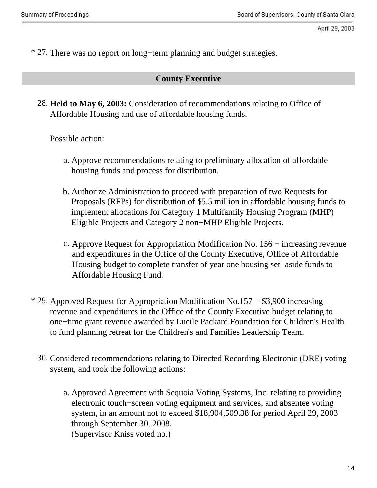\* 27. There was no report on long−term planning and budget strategies.

### **County Executive**

28. **Held to May 6, 2003:** Consideration of recommendations relating to Office of Affordable Housing and use of affordable housing funds.

Possible action:

- a. Approve recommendations relating to preliminary allocation of affordable housing funds and process for distribution.
- b. Authorize Administration to proceed with preparation of two Requests for Proposals (RFPs) for distribution of \$5.5 million in affordable housing funds to implement allocations for Category 1 Multifamily Housing Program (MHP) Eligible Projects and Category 2 non−MHP Eligible Projects.
- c. Approve Request for Appropriation Modification No. 156 − increasing revenue and expenditures in the Office of the County Executive, Office of Affordable Housing budget to complete transfer of year one housing set−aside funds to Affordable Housing Fund.
- \* 29. Approved Request for Appropriation Modification No.157 − \$3,900 increasing revenue and expenditures in the Office of the County Executive budget relating to one−time grant revenue awarded by Lucile Packard Foundation for Children's Health to fund planning retreat for the Children's and Families Leadership Team.
	- 30. Considered recommendations relating to Directed Recording Electronic (DRE) voting system, and took the following actions:
		- a. Approved Agreement with Sequoia Voting Systems, Inc. relating to providing electronic touch−screen voting equipment and services, and absentee voting system, in an amount not to exceed \$18,904,509.38 for period April 29, 2003 through September 30, 2008. (Supervisor Kniss voted no.)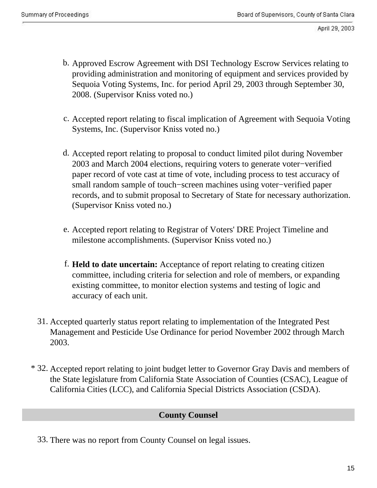- b. Approved Escrow Agreement with DSI Technology Escrow Services relating to providing administration and monitoring of equipment and services provided by Sequoia Voting Systems, Inc. for period April 29, 2003 through September 30, 2008. (Supervisor Kniss voted no.)
- c. Accepted report relating to fiscal implication of Agreement with Sequoia Voting Systems, Inc. (Supervisor Kniss voted no.)
- d. Accepted report relating to proposal to conduct limited pilot during November 2003 and March 2004 elections, requiring voters to generate voter−verified paper record of vote cast at time of vote, including process to test accuracy of small random sample of touch−screen machines using voter−verified paper records, and to submit proposal to Secretary of State for necessary authorization. (Supervisor Kniss voted no.)
- e. Accepted report relating to Registrar of Voters' DRE Project Timeline and milestone accomplishments. (Supervisor Kniss voted no.)
- f. **Held to date uncertain:** Acceptance of report relating to creating citizen committee, including criteria for selection and role of members, or expanding existing committee, to monitor election systems and testing of logic and accuracy of each unit.
- 31. Accepted quarterly status report relating to implementation of the Integrated Pest Management and Pesticide Use Ordinance for period November 2002 through March 2003.
- \* 32. Accepted report relating to joint budget letter to Governor Gray Davis and members of the State legislature from California State Association of Counties (CSAC), League of California Cities (LCC), and California Special Districts Association (CSDA).

## **County Counsel**

33. There was no report from County Counsel on legal issues.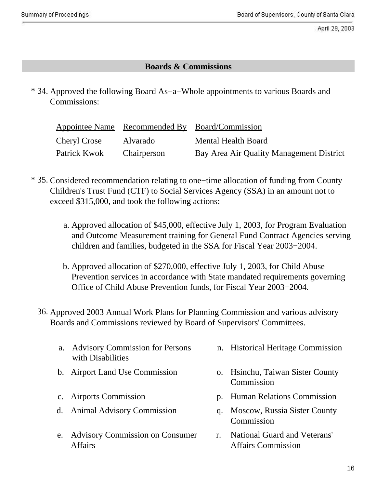## **Boards & Commissions**

\* 34. Approved the following Board As−a−Whole appointments to various Boards and Commissions:

|              |             | Appointee Name Recommended By Board/Commission |
|--------------|-------------|------------------------------------------------|
| Cheryl Crose | Alvarado    | Mental Health Board                            |
| Patrick Kwok | Chairperson | Bay Area Air Quality Management District       |

- \* 35. Considered recommendation relating to one−time allocation of funding from County Children's Trust Fund (CTF) to Social Services Agency (SSA) in an amount not to exceed \$315,000, and took the following actions:
	- a. Approved allocation of \$45,000, effective July 1, 2003, for Program Evaluation and Outcome Measurement training for General Fund Contract Agencies serving children and families, budgeted in the SSA for Fiscal Year 2003−2004.
	- b. Approved allocation of \$270,000, effective July 1, 2003, for Child Abuse Prevention services in accordance with State mandated requirements governing Office of Child Abuse Prevention funds, for Fiscal Year 2003−2004.
	- 36. Approved 2003 Annual Work Plans for Planning Commission and various advisory Boards and Commissions reviewed by Board of Supervisors' Committees.
		- a. Advisory Commission for Persons with Disabilities
		-
		-
		- d. Animal Advisory Commission . q. Moscow, Russia Sister County
		- . e. Advisory Commission on Consumer Affairs
- n. Historical Heritage Commission
- b. Airport Land Use Commission . . . . . . . . . . . . . Hsinchu, Taiwan Sister County **Commission**
- c. Airports Commission . p. Human Relations Commission
	- Commission
	- . r. .National Guard and Veterans' Affairs Commission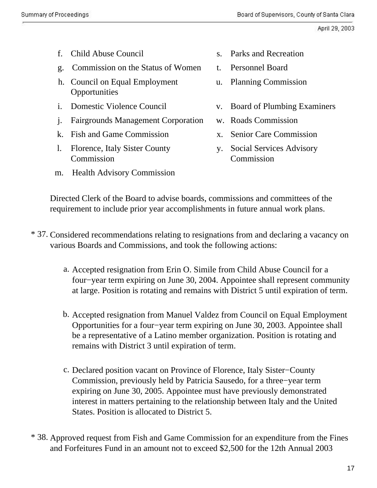- 
- g. Commission on the Status of Women t. Personnel Board
- . h. Council on Equal Employment **Opportunities**
- 
- i. Fairgrounds Management Corporation w. Roads Commission
- k. Fish and Game Commission . x. Senior Care Commission
- 1. Florence, Italy Sister County Commission
- m. Health Advisory Commission
- f. Child Abuse Council . S. . Parks and Recreation
	-
	- u. Planning Commission
- i. Domestic Violence Council . v. Board of Plumbing Examiners
	-
	-
	- y. Social Services Advisory Commission

Directed Clerk of the Board to advise boards, commissions and committees of the requirement to include prior year accomplishments in future annual work plans.

- \* 37. Considered recommendations relating to resignations from and declaring a vacancy on various Boards and Commissions, and took the following actions:
	- a. Accepted resignation from Erin O. Simile from Child Abuse Council for a four−year term expiring on June 30, 2004. Appointee shall represent community at large. Position is rotating and remains with District 5 until expiration of term.
	- b. Accepted resignation from Manuel Valdez from Council on Equal Employment Opportunities for a four−year term expiring on June 30, 2003. Appointee shall be a representative of a Latino member organization. Position is rotating and remains with District 3 until expiration of term.
	- c. Declared position vacant on Province of Florence, Italy Sister−County Commission, previously held by Patricia Sausedo, for a three−year term expiring on June 30, 2005. Appointee must have previously demonstrated interest in matters pertaining to the relationship between Italy and the United States. Position is allocated to District 5.
- \* 38. Approved request from Fish and Game Commission for an expenditure from the Fines and Forfeitures Fund in an amount not to exceed \$2,500 for the 12th Annual 2003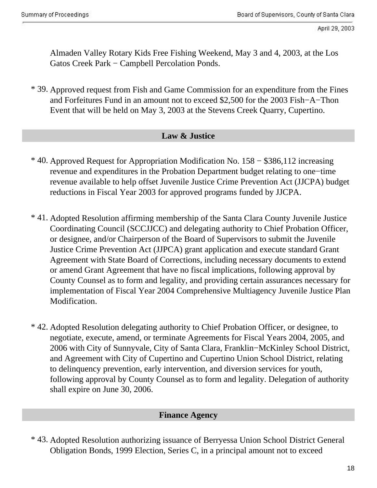Almaden Valley Rotary Kids Free Fishing Weekend, May 3 and 4, 2003, at the Los Gatos Creek Park − Campbell Percolation Ponds.

\* 39. Approved request from Fish and Game Commission for an expenditure from the Fines and Forfeitures Fund in an amount not to exceed \$2,500 for the 2003 Fish−A−Thon Event that will be held on May 3, 2003 at the Stevens Creek Quarry, Cupertino.

#### **Law & Justice**

- \* 40. Approved Request for Appropriation Modification No. 158 − \$386,112 increasing revenue and expenditures in the Probation Department budget relating to one−time revenue available to help offset Juvenile Justice Crime Prevention Act (JJCPA) budget reductions in Fiscal Year 2003 for approved programs funded by JJCPA.
- \* 41. Adopted Resolution affirming membership of the Santa Clara County Juvenile Justice Coordinating Council (SCCJJCC) and delegating authority to Chief Probation Officer, or designee, and/or Chairperson of the Board of Supervisors to submit the Juvenile Justice Crime Prevention Act (JJPCA) grant application and execute standard Grant Agreement with State Board of Corrections, including necessary documents to extend or amend Grant Agreement that have no fiscal implications, following approval by County Counsel as to form and legality, and providing certain assurances necessary for implementation of Fiscal Year 2004 Comprehensive Multiagency Juvenile Justice Plan Modification.
- \* 42. Adopted Resolution delegating authority to Chief Probation Officer, or designee, to negotiate, execute, amend, or terminate Agreements for Fiscal Years 2004, 2005, and 2006 with City of Sunnyvale, City of Santa Clara, Franklin−McKinley School District, and Agreement with City of Cupertino and Cupertino Union School District, relating to delinquency prevention, early intervention, and diversion services for youth, following approval by County Counsel as to form and legality. Delegation of authority shall expire on June 30, 2006.

## **Finance Agency**

\* 43. Adopted Resolution authorizing issuance of Berryessa Union School District General Obligation Bonds, 1999 Election, Series C, in a principal amount not to exceed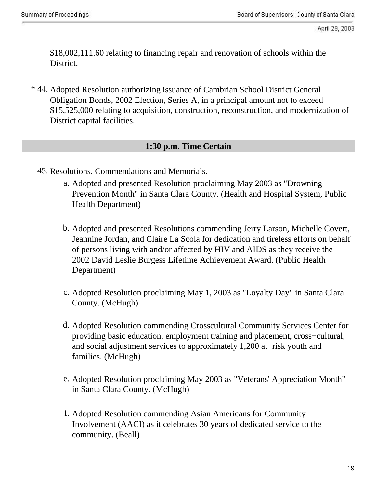\$18,002,111.60 relating to financing repair and renovation of schools within the District.

\* 44. Adopted Resolution authorizing issuance of Cambrian School District General Obligation Bonds, 2002 Election, Series A, in a principal amount not to exceed \$15,525,000 relating to acquisition, construction, reconstruction, and modernization of District capital facilities.

### **1:30 p.m. Time Certain**

- 45. Resolutions, Commendations and Memorials.
	- a. Adopted and presented Resolution proclaiming May 2003 as "Drowning Prevention Month" in Santa Clara County. (Health and Hospital System, Public Health Department)
	- b. Adopted and presented Resolutions commending Jerry Larson, Michelle Covert, Jeannine Jordan, and Claire La Scola for dedication and tireless efforts on behalf of persons living with and/or affected by HIV and AIDS as they receive the 2002 David Leslie Burgess Lifetime Achievement Award. (Public Health Department)
	- c. Adopted Resolution proclaiming May 1, 2003 as "Loyalty Day" in Santa Clara County. (McHugh)
	- d. Adopted Resolution commending Crosscultural Community Services Center for providing basic education, employment training and placement, cross−cultural, and social adjustment services to approximately 1,200 at−risk youth and families. (McHugh)
	- e. Adopted Resolution proclaiming May 2003 as "Veterans' Appreciation Month" in Santa Clara County. (McHugh)
	- f. Adopted Resolution commending Asian Americans for Community Involvement (AACI) as it celebrates 30 years of dedicated service to the community. (Beall)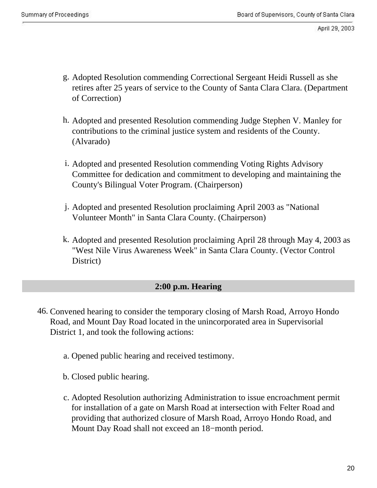- g. Adopted Resolution commending Correctional Sergeant Heidi Russell as she retires after 25 years of service to the County of Santa Clara Clara. (Department of Correction)
- h. Adopted and presented Resolution commending Judge Stephen V. Manley for contributions to the criminal justice system and residents of the County. (Alvarado)
- i. Adopted and presented Resolution commending Voting Rights Advisory Committee for dedication and commitment to developing and maintaining the County's Bilingual Voter Program. (Chairperson)
- j. Adopted and presented Resolution proclaiming April 2003 as "National Volunteer Month" in Santa Clara County. (Chairperson)
- k. Adopted and presented Resolution proclaiming April 28 through May 4, 2003 as "West Nile Virus Awareness Week" in Santa Clara County. (Vector Control District)

## **2:00 p.m. Hearing**

- 46. Convened hearing to consider the temporary closing of Marsh Road, Arroyo Hondo Road, and Mount Day Road located in the unincorporated area in Supervisorial District 1, and took the following actions:
	- a. Opened public hearing and received testimony.
	- b. Closed public hearing.
	- c. Adopted Resolution authorizing Administration to issue encroachment permit for installation of a gate on Marsh Road at intersection with Felter Road and providing that authorized closure of Marsh Road, Arroyo Hondo Road, and Mount Day Road shall not exceed an 18−month period.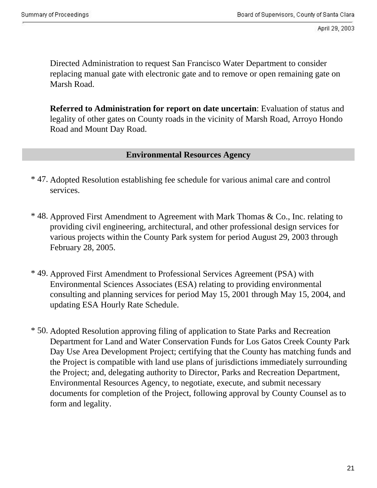Directed Administration to request San Francisco Water Department to consider replacing manual gate with electronic gate and to remove or open remaining gate on Marsh Road.

**Referred to Administration for report on date uncertain**: Evaluation of status and legality of other gates on County roads in the vicinity of Marsh Road, Arroyo Hondo Road and Mount Day Road.

#### **Environmental Resources Agency**

- \* 47. Adopted Resolution establishing fee schedule for various animal care and control services.
- \* 48. Approved First Amendment to Agreement with Mark Thomas & Co., Inc. relating to providing civil engineering, architectural, and other professional design services for various projects within the County Park system for period August 29, 2003 through February 28, 2005.
- \* 49. Approved First Amendment to Professional Services Agreement (PSA) with Environmental Sciences Associates (ESA) relating to providing environmental consulting and planning services for period May 15, 2001 through May 15, 2004, and updating ESA Hourly Rate Schedule.
- \* 50. Adopted Resolution approving filing of application to State Parks and Recreation Department for Land and Water Conservation Funds for Los Gatos Creek County Park Day Use Area Development Project; certifying that the County has matching funds and the Project is compatible with land use plans of jurisdictions immediately surrounding the Project; and, delegating authority to Director, Parks and Recreation Department, Environmental Resources Agency, to negotiate, execute, and submit necessary documents for completion of the Project, following approval by County Counsel as to form and legality.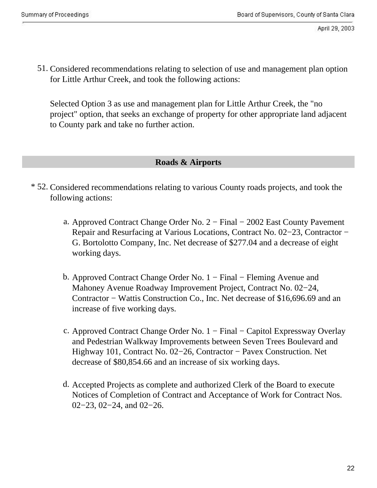51. Considered recommendations relating to selection of use and management plan option for Little Arthur Creek, and took the following actions:

Selected Option 3 as use and management plan for Little Arthur Creek, the "no project" option, that seeks an exchange of property for other appropriate land adjacent to County park and take no further action.

### **Roads & Airports**

- \* 52. Considered recommendations relating to various County roads projects, and took the following actions:
	- a. Approved Contract Change Order No. 2 − Final − 2002 East County Pavement Repair and Resurfacing at Various Locations, Contract No. 02−23, Contractor − G. Bortolotto Company, Inc. Net decrease of \$277.04 and a decrease of eight working days.
	- b. Approved Contract Change Order No. 1 − Final − Fleming Avenue and Mahoney Avenue Roadway Improvement Project, Contract No. 02−24, Contractor − Wattis Construction Co., Inc. Net decrease of \$16,696.69 and an increase of five working days.
	- c. Approved Contract Change Order No. 1 − Final − Capitol Expressway Overlay and Pedestrian Walkway Improvements between Seven Trees Boulevard and Highway 101, Contract No. 02−26, Contractor − Pavex Construction. Net decrease of \$80,854.66 and an increase of six working days.
	- d. Accepted Projects as complete and authorized Clerk of the Board to execute Notices of Completion of Contract and Acceptance of Work for Contract Nos. 02−23, 02−24, and 02−26.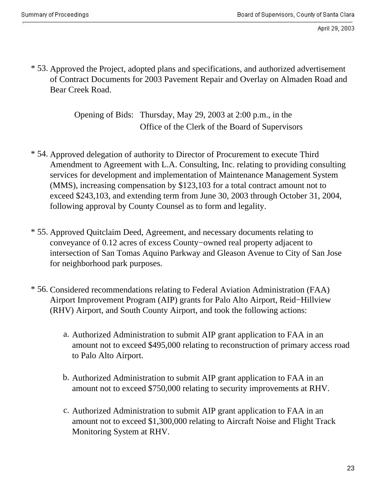\* 53. Approved the Project, adopted plans and specifications, and authorized advertisement of Contract Documents for 2003 Pavement Repair and Overlay on Almaden Road and Bear Creek Road.

> . Opening of Bids: Thursday, May 29, 2003 at 2:00 p.m., in the Office of the Clerk of the Board of Supervisors

- \* 54. Approved delegation of authority to Director of Procurement to execute Third Amendment to Agreement with L.A. Consulting, Inc. relating to providing consulting services for development and implementation of Maintenance Management System (MMS), increasing compensation by \$123,103 for a total contract amount not to exceed \$243,103, and extending term from June 30, 2003 through October 31, 2004, following approval by County Counsel as to form and legality.
- \* 55. Approved Quitclaim Deed, Agreement, and necessary documents relating to conveyance of 0.12 acres of excess County−owned real property adjacent to intersection of San Tomas Aquino Parkway and Gleason Avenue to City of San Jose for neighborhood park purposes.
- \* 56. Considered recommendations relating to Federal Aviation Administration (FAA) Airport Improvement Program (AIP) grants for Palo Alto Airport, Reid−Hillview (RHV) Airport, and South County Airport, and took the following actions:
	- a. Authorized Administration to submit AIP grant application to FAA in an amount not to exceed \$495,000 relating to reconstruction of primary access road to Palo Alto Airport.
	- b. Authorized Administration to submit AIP grant application to FAA in an amount not to exceed \$750,000 relating to security improvements at RHV.
	- c. Authorized Administration to submit AIP grant application to FAA in an amount not to exceed \$1,300,000 relating to Aircraft Noise and Flight Track Monitoring System at RHV.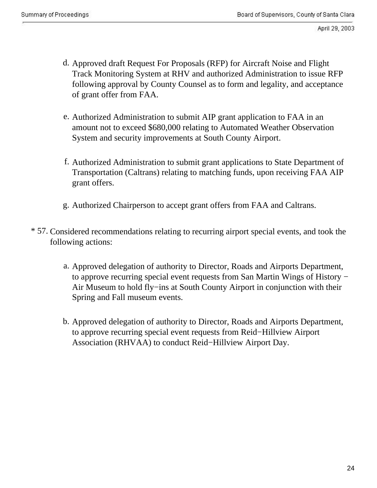- d. Approved draft Request For Proposals (RFP) for Aircraft Noise and Flight Track Monitoring System at RHV and authorized Administration to issue RFP following approval by County Counsel as to form and legality, and acceptance of grant offer from FAA.
- e. Authorized Administration to submit AIP grant application to FAA in an amount not to exceed \$680,000 relating to Automated Weather Observation System and security improvements at South County Airport.
- f. Authorized Administration to submit grant applications to State Department of Transportation (Caltrans) relating to matching funds, upon receiving FAA AIP grant offers.
- g. Authorized Chairperson to accept grant offers from FAA and Caltrans.
- \* 57. Considered recommendations relating to recurring airport special events, and took the following actions:
	- a. Approved delegation of authority to Director, Roads and Airports Department, to approve recurring special event requests from San Martin Wings of History − Air Museum to hold fly−ins at South County Airport in conjunction with their Spring and Fall museum events.
	- b. Approved delegation of authority to Director, Roads and Airports Department, to approve recurring special event requests from Reid−Hillview Airport Association (RHVAA) to conduct Reid−Hillview Airport Day.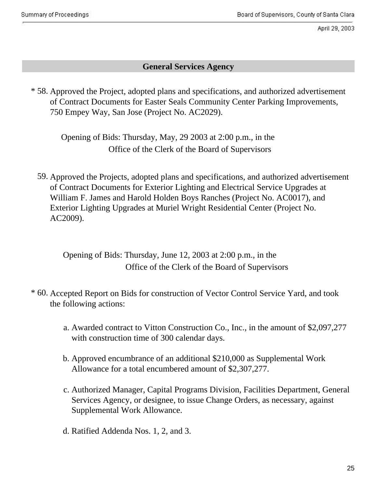## **General Services Agency**

\* 58. Approved the Project, adopted plans and specifications, and authorized advertisement of Contract Documents for Easter Seals Community Center Parking Improvements, 750 Empey Way, San Jose (Project No. AC2029).

. Opening of Bids: Thursday, May, 29 2003 at 2:00 p.m., in the . Office of the Clerk of the Board of Supervisors

59. Approved the Projects, adopted plans and specifications, and authorized advertisement of Contract Documents for Exterior Lighting and Electrical Service Upgrades at William F. James and Harold Holden Boys Ranches (Project No. AC0017), and Exterior Lighting Upgrades at Muriel Wright Residential Center (Project No. AC2009).

. Opening of Bids: Thursday, June 12, 2003 at 2:00 p.m., in the . Office of the Clerk of the Board of Supervisors

- \* 60. Accepted Report on Bids for construction of Vector Control Service Yard, and took the following actions:
	- Awarded contract to Vitton Construction Co., Inc., in the amount of \$2,097,277 a. with construction time of 300 calendar days.
	- b. Approved encumbrance of an additional \$210,000 as Supplemental Work Allowance for a total encumbered amount of \$2,307,277.
	- c. Authorized Manager, Capital Programs Division, Facilities Department, General Services Agency, or designee, to issue Change Orders, as necessary, against Supplemental Work Allowance.
	- d. Ratified Addenda Nos. 1, 2, and 3.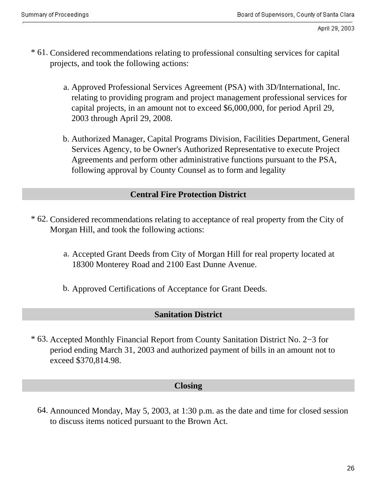- \* 61. Considered recommendations relating to professional consulting services for capital projects, and took the following actions:
	- a. Approved Professional Services Agreement (PSA) with 3D/International, Inc. relating to providing program and project management professional services for capital projects, in an amount not to exceed \$6,000,000, for period April 29, 2003 through April 29, 2008.
	- b. Authorized Manager, Capital Programs Division, Facilities Department, General Services Agency, to be Owner's Authorized Representative to execute Project Agreements and perform other administrative functions pursuant to the PSA, following approval by County Counsel as to form and legality

## **Central Fire Protection District**

- \* 62. Considered recommendations relating to acceptance of real property from the City of Morgan Hill, and took the following actions:
	- a. Accepted Grant Deeds from City of Morgan Hill for real property located at 18300 Monterey Road and 2100 East Dunne Avenue.
	- b. Approved Certifications of Acceptance for Grant Deeds.

#### **Sanitation District**

\* 63. Accepted Monthly Financial Report from County Sanitation District No. 2−3 for period ending March 31, 2003 and authorized payment of bills in an amount not to exceed \$370,814.98.

#### **Closing**

64. Announced Monday, May 5, 2003, at 1:30 p.m. as the date and time for closed session to discuss items noticed pursuant to the Brown Act.